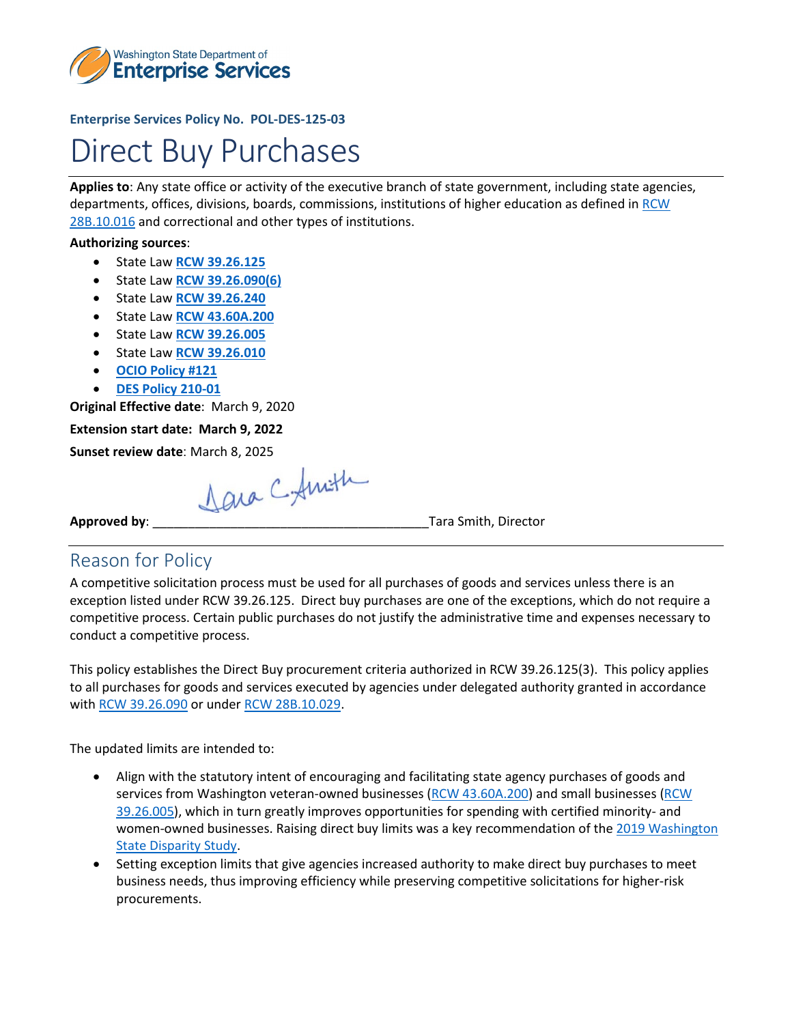

#### **Enterprise Services Policy No. POL-DES-125-03**

# Direct Buy Purchases

**Applies to**: Any state office or activity of the executive branch of state government, including state agencies, departments, offices, divisions, boards, commissions, institutions of higher education as defined in [RCW](http://apps.leg.wa.gov/RCW/default.aspx?cite=28B.10.016)  [28B.10.016](http://apps.leg.wa.gov/RCW/default.aspx?cite=28B.10.016) and correctional and other types of institutions.

#### **Authorizing sources**:

- State Law **[RCW 39.26.125](http://app.leg.wa.gov/RCW/default.aspx?cite=39.26.125)**
- State Law **[RCW 39.26.090\(6\)](https://app.leg.wa.gov/RCW/default.aspx?cite=39.26.090)**
- State Law **[RCW 39.26.240](http://app.leg.wa.gov/RCW/default.aspx?cite=39.26.240)**
- State Law **[RCW 43.60A.200](https://app.leg.wa.gov/RCW/default.aspx?cite=43.60A.200)**
- State Law **[RCW 39.26.005](https://app.leg.wa.gov/RCW/default.aspx?cite=39.26.005)**
- State Law **[RCW 39.26.010](https://app.leg.wa.gov/RCW/default.aspx?cite=39.26.010)**
- **[OCIO Policy #121](https://ocio.wa.gov/policy/it-investments-approval-and-oversight-policy)**
- **[DES Policy 210-01](mailto:https://des.wa.gov/sites/default/files/public/documents/About/Procurement_reform/Policies/DES-210-01AgencyContractReporting.pdf?=c04df)**

**Original Effective date**: March 9, 2020

**Extension start date: March 9, 2022**

**Sunset review date**: March 8, 2025

**Approved by:**  $\triangle Q \cup \triangle Q$   $\triangle \neq \{m:\}$  Tara Smith, Director

#### Reason for Policy

A competitive solicitation process must be used for all purchases of goods and services unless there is an exception listed under RCW 39.26.125.Direct buy purchases are one of the exceptions, which do not require a competitive process. Certain public purchases do not justify the administrative time and expenses necessary to conduct a competitive process.

This policy establishes the Direct Buy procurement criteria authorized in RCW 39.26.125(3). This policy applies to all purchases for goods and services executed by agencies under delegated authority granted in accordance with [RCW 39.26.090](http://app.leg.wa.gov/RCW/default.aspx?cite=39.26.090) or under [RCW 28B.10.029.](http://app.leg.wa.gov/RCW/default.aspx?cite=28B.10.029)

The updated limits are intended to:

- Align with the statutory intent of encouraging and facilitating state agency purchases of goods and services from Washington veteran-owned businesses [\(RCW 43.60A.200\)](https://gcc02.safelinks.protection.outlook.com/?url=https%3A%2F%2Fapp.leg.wa.gov%2FrcW%2Fdefault.aspx%3Fcite%3D43.60A.200&data=04%7C01%7Crebecca.linville%40des.wa.gov%7Cf57dc12eefc043d7f41b08d99db9ebcc%7C11d0e217264e400a8ba057dcc127d72d%7C0%7C0%7C637714257324444553%7CUnknown%7CTWFpbGZsb3d8eyJWIjoiMC4wLjAwMDAiLCJQIjoiV2luMzIiLCJBTiI6Ik1haWwiLCJXVCI6Mn0%3D%7C1000&sdata=S1KqhfK1KMkIuMyeysylxPvYxcvAzhG8B9Z8%2BAFwQfE%3D&reserved=0) and small businesses [\(RCW](https://gcc02.safelinks.protection.outlook.com/?url=https%3A%2F%2Fapps.leg.wa.gov%2Frcw%2Fdefault.aspx%3Fcite%3D39.26.005&data=04%7C01%7Crebecca.linville%40des.wa.gov%7Cf57dc12eefc043d7f41b08d99db9ebcc%7C11d0e217264e400a8ba057dcc127d72d%7C0%7C0%7C637714257324444553%7CUnknown%7CTWFpbGZsb3d8eyJWIjoiMC4wLjAwMDAiLCJQIjoiV2luMzIiLCJBTiI6Ik1haWwiLCJXVCI6Mn0%3D%7C1000&sdata=kraySJfPuJFwIdjT6vNi1u794LyDuv0ACGZNBuqp8x8%3D&reserved=0)  [39.26.005\)](https://gcc02.safelinks.protection.outlook.com/?url=https%3A%2F%2Fapps.leg.wa.gov%2Frcw%2Fdefault.aspx%3Fcite%3D39.26.005&data=04%7C01%7Crebecca.linville%40des.wa.gov%7Cf57dc12eefc043d7f41b08d99db9ebcc%7C11d0e217264e400a8ba057dcc127d72d%7C0%7C0%7C637714257324444553%7CUnknown%7CTWFpbGZsb3d8eyJWIjoiMC4wLjAwMDAiLCJQIjoiV2luMzIiLCJBTiI6Ik1haWwiLCJXVCI6Mn0%3D%7C1000&sdata=kraySJfPuJFwIdjT6vNi1u794LyDuv0ACGZNBuqp8x8%3D&reserved=0), which in turn greatly improves opportunities for spending with certified minority- and women-owned businesses. Raising direct buy limits was a key recommendation of th[e 2019 Washington](https://gcc02.safelinks.protection.outlook.com/?url=https%3A%2F%2Fomwbe.wa.gov%2Fgovernors-subcabinet-business-diversity%2Fdisparity-study&data=04%7C01%7Crebecca.linville%40des.wa.gov%7Cf57dc12eefc043d7f41b08d99db9ebcc%7C11d0e217264e400a8ba057dcc127d72d%7C0%7C0%7C637714257324454513%7CUnknown%7CTWFpbGZsb3d8eyJWIjoiMC4wLjAwMDAiLCJQIjoiV2luMzIiLCJBTiI6Ik1haWwiLCJXVCI6Mn0%3D%7C1000&sdata=tfdSq5PfbkknArqmNB2B1QK0B4MEdO0hy%2BM1Ltu%2BG7o%3D&reserved=0)  [State Disparity Study.](https://gcc02.safelinks.protection.outlook.com/?url=https%3A%2F%2Fomwbe.wa.gov%2Fgovernors-subcabinet-business-diversity%2Fdisparity-study&data=04%7C01%7Crebecca.linville%40des.wa.gov%7Cf57dc12eefc043d7f41b08d99db9ebcc%7C11d0e217264e400a8ba057dcc127d72d%7C0%7C0%7C637714257324454513%7CUnknown%7CTWFpbGZsb3d8eyJWIjoiMC4wLjAwMDAiLCJQIjoiV2luMzIiLCJBTiI6Ik1haWwiLCJXVCI6Mn0%3D%7C1000&sdata=tfdSq5PfbkknArqmNB2B1QK0B4MEdO0hy%2BM1Ltu%2BG7o%3D&reserved=0)
- Setting exception limits that give agencies increased authority to make direct buy purchases to meet business needs, thus improving efficiency while preserving competitive solicitations for higher-risk procurements.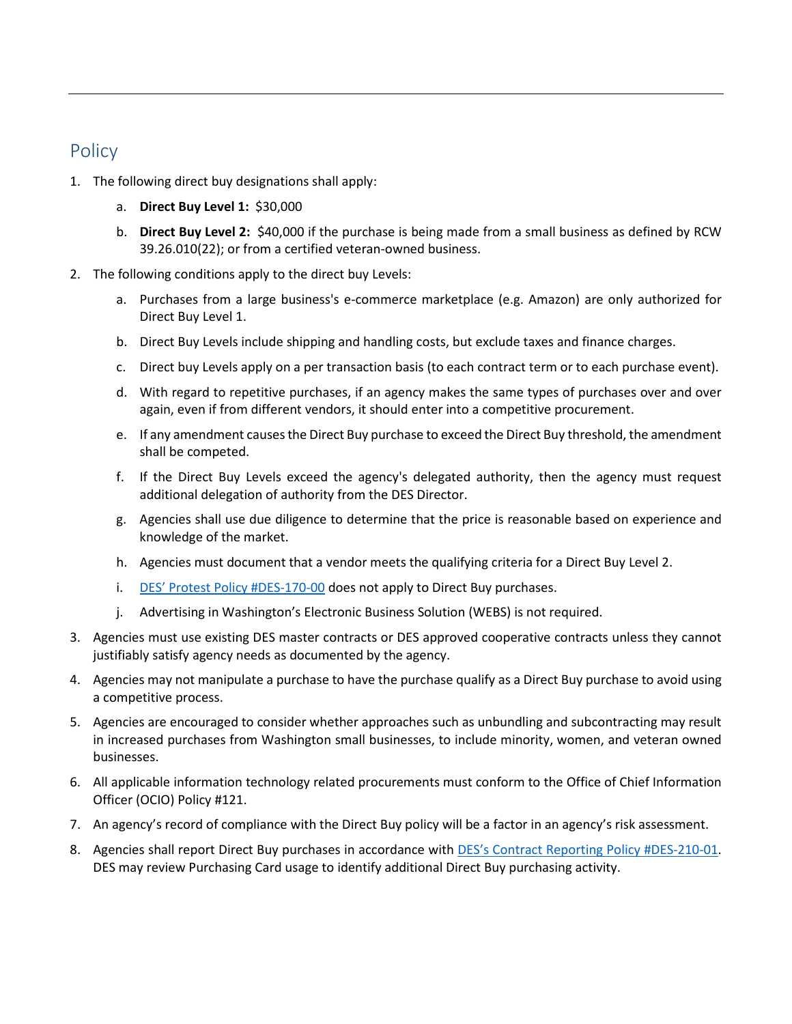## Policy

- 1. The following direct buy designations shall apply:
	- a. **Direct Buy Level 1:** \$30,000
	- b. **Direct Buy Level 2:** \$40,000 if the purchase is being made from a small business as defined by RCW 39.26.010(22); or from a certified veteran-owned business.
- 2. The following conditions apply to the direct buy Levels:
	- a. Purchases from a large business's e-commerce marketplace (e.g. Amazon) are only authorized for Direct Buy Level 1.
	- b. Direct Buy Levels include shipping and handling costs, but exclude taxes and finance charges.
	- c. Direct buy Levels apply on a per transaction basis (to each contract term or to each purchase event).
	- d. With regard to repetitive purchases, if an agency makes the same types of purchases over and over again, even if from different vendors, it should enter into a competitive procurement.
	- e. If any amendment causes the Direct Buy purchase to exceed the Direct Buy threshold, the amendment shall be competed.
	- f. If the Direct Buy Levels exceed the agency's delegated authority, then the agency must request additional delegation of authority from the DES Director.
	- g. Agencies shall use due diligence to determine that the price is reasonable based on experience and knowledge of the market.
	- h. Agencies must document that a vendor meets the qualifying criteria for a Direct Buy Level 2.
	- i. [DES' Protest Policy #DES-170-00](https://des.wa.gov/sites/default/files/public/documents/About/Procurement_reform/Policies/DES-170-00ComplaintsProtests.pdf) does not apply to Direct Buy purchases.
	- j. Advertising in Washington's Electronic Business Solution (WEBS) is not required.
- 3. Agencies must use existing DES master contracts or DES approved cooperative contracts unless they cannot justifiably satisfy agency needs as documented by the agency.
- 4. Agencies may not manipulate a purchase to have the purchase qualify as a Direct Buy purchase to avoid using a competitive process.
- 5. Agencies are encouraged to consider whether approaches such as unbundling and subcontracting may result in increased purchases from Washington small businesses, to include minority, women, and veteran owned businesses.
- 6. All applicable information technology related procurements must conform to the Office of Chief Information Officer (OCIO) Policy #121.
- 7. An agency's record of compliance with the Direct Buy policy will be a factor in an agency's risk assessment.
- 8. Agencies shall report Direct Buy purchases in accordance with [DES's Contract Reporting Policy #DES-210-01.](mailto:https://des.wa.gov/sites/default/files/public/documents/About/Procurement_reform/Policies/DES-210-01AgencyContractReporting.pdf?=c04df) DES may review Purchasing Card usage to identify additional Direct Buy purchasing activity.